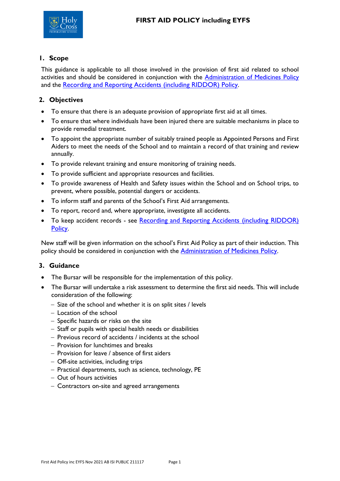

## **1. Scope**

This guidance is applicable to all those involved in the provision of first aid related to school activities and should be considered in conjunction with the [Administration of Medicines Policy](file://///HCNET.AD/HCP/Share_Policies/Administration%20of%20Medicines%20Policy%20inc%20EYFS.pdf) and the [Recording and Reporting Accidents \(including RIDDOR\) Policy](file://///HCNET.AD/HCP/Share_Policies/Recording%20and%20Reporting%20Accidents%20including%20RIDDOR%20Policy.pdf).

## **2. Objectives**

- To ensure that there is an adequate provision of appropriate first aid at all times.
- To ensure that where individuals have been injured there are suitable mechanisms in place to provide remedial treatment.
- To appoint the appropriate number of suitably trained people as Appointed Persons and First Aiders to meet the needs of the School and to maintain a record of that training and review annually.
- To provide relevant training and ensure monitoring of training needs.
- To provide sufficient and appropriate resources and facilities.
- To provide awareness of Health and Safety issues within the School and on School trips, to prevent, where possible, potential dangers or accidents.
- To inform staff and parents of the School's First Aid arrangements.
- To report, record and, where appropriate, investigate all accidents.
- To keep accident records see Recording and Reporting Accidents (including RIDDOR) [Policy](file://///HCNET.AD/HCP/Share_Policies/Recording%20and%20Reporting%20Accidents%20including%20RIDDOR%20Policy.pdf).

New staff will be given information on the school's First Aid Policy as part of their induction. This policy should be considered in conjunction with the **[Administration of Medicines Policy](file://///HCNET.AD/HCP/Share_Policies/Administration%20of%20Medicines%20inc%20EYFS.pdf)**.

### **3. Guidance**

- The Bursar will be responsible for the implementation of this policy.
- The Bursar will undertake a risk assessment to determine the first aid needs. This will include consideration of the following:
	- − Size of the school and whether it is on split sites / levels
	- − Location of the school
	- − Specific hazards or risks on the site
	- − Staff or pupils with special health needs or disabilities
	- − Previous record of accidents / incidents at the school
	- − Provision for lunchtimes and breaks
	- − Provision for leave / absence of first aiders
	- − Off-site activities, including trips
	- − Practical departments, such as science, technology, PE
	- − Out of hours activities
	- − Contractors on-site and agreed arrangements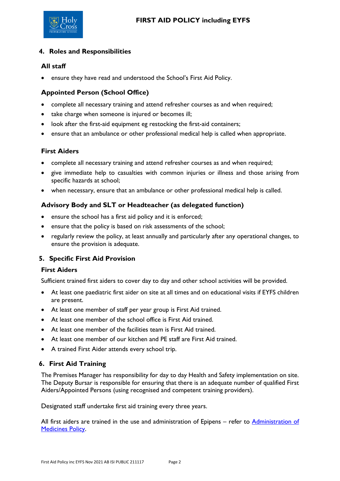

## **4. Roles and Responsibilities**

## **All staff**

ensure they have read and understood the School's First Aid Policy.

## **Appointed Person (School Office)**

- complete all necessary training and attend refresher courses as and when required;
- take charge when someone is injured or becomes ill;
- look after the first-aid equipment eg restocking the first-aid containers;
- ensure that an ambulance or other professional medical help is called when appropriate.

### **First Aiders**

- complete all necessary training and attend refresher courses as and when required;
- give immediate help to casualties with common injuries or illness and those arising from specific hazards at school;
- when necessary, ensure that an ambulance or other professional medical help is called.

## **Advisory Body and SLT or Headteacher (as delegated function)**

- ensure the school has a first aid policy and it is enforced;
- ensure that the policy is based on risk assessments of the school;
- regularly review the policy, at least annually and particularly after any operational changes, to ensure the provision is adequate.

### **5. Specific First Aid Provision**

#### **First Aiders**

Sufficient trained first aiders to cover day to day and other school activities will be provided.

- At least one paediatric first aider on site at all times and on educational visits if EYFS children are present.
- At least one member of staff per year group is First Aid trained.
- At least one member of the school office is First Aid trained.
- At least one member of the facilities team is First Aid trained.
- At least one member of our kitchen and PE staff are First Aid trained.
- A trained First Aider attends every school trip.

## **6. First Aid Training**

The Premises Manager has responsibility for day to day Health and Safety implementation on site. The Deputy Bursar is responsible for ensuring that there is an adequate number of qualified First Aiders/Appointed Persons (using recognised and competent training providers).

Designated staff undertake first aid training every three years.

All first aiders are trained in the use and administration of Epipens – refer to Administration of [Medicines Policy.](file://///HCNET.AD/HCP/Share_Policies/Administration%20of%20Medicines%20Policy%20inc%20EYFS.pdf)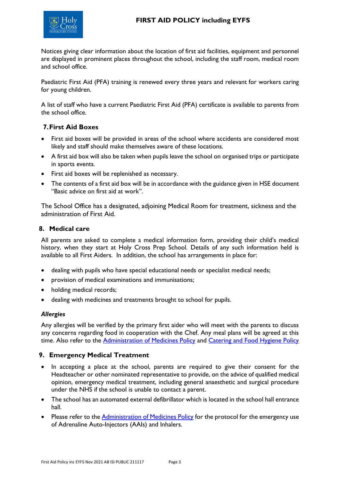



Notices giving clear information about the location of first aid facilities, equipment and personnel are displayed in prominent places throughout the school, including the staff room, medical room and school office.

Paediatric First Aid (PFA) training is renewed every three years and relevant for workers caring for young children.

A list of staff who have a current Paediatric First Aid (PFA) certificate is available to parents from the school office.

### **7.First Aid Boxes**

- First aid boxes will be provided in areas of the school where accidents are considered most likely and staff should make themselves aware of these locations.
- A first aid box will also be taken when pupils leave the school on organised trips or participate in sports events.
- First aid boxes will be replenished as necessary.
- The contents of a first aid box will be in accordance with the guidance given in HSE document "[Basic advice on first aid at work](http://www.hse.gov.uk/pubns/indg347.pdf)".

The School Office has a designated, adjoining Medical Room for treatment, sickness and the administration of First Aid.

#### **8. Medical care**

All parents are asked to complete a medical information form, providing their child's medical history, when they start at Holy Cross Prep School. Details of any such information held is available to all First Aiders. In addition, the school has arrangements in place for:

- dealing with pupils who have special educational needs or specialist medical needs;
- provision of medical examinations and immunisations;
- holding medical records;
- dealing with medicines and treatments brought to school for pupils.

#### *Allergies*

Any allergies will be verified by the primary first aider who will meet with the parents to discuss any concerns regarding food in cooperation with the Chef. Any meal plans will be agreed at this time. Also refer to the **[Administration of Medicines Policy](file://///HCNET.AD/HCP/Share_Policies/Administration%20of%20Medicines%20Policy%20inc%20EYFS.pdf)** and [Catering and Food Hygiene Policy](file://///HCNET.AD/HCP/Share_Policies/Catering%20&%20Food%20Hygiene%20Policy.pdf)

#### **9. Emergency Medical Treatment**

- In accepting a place at the school, parents are required to give their consent for the Headteacher or other nominated representative to provide, on the advice of qualified medical opinion, emergency medical treatment, including general anaesthetic and surgical procedure under the NHS if the school is unable to contact a parent.
- The school has an automated external defibrillator which is located in the school hall entrance hall.
- Please refer to the [Administration of Medicines Policy](file://///HCNET.AD/HCP/Share_Policies/Administration%20of%20Medicines%20Policy%20inc%20EYFS.pdf) for the protocol for the emergency use of Adrenaline Auto-Injectors (AAIs) and Inhalers.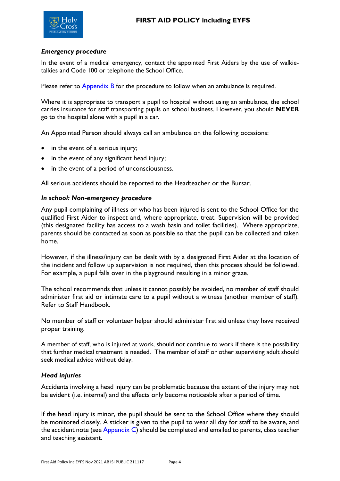

### *Emergency procedure*

In the event of a medical emergency, contact the appointed First Aiders by the use of walkietalkies and Code 100 or telephone the School Office.

Please refer to Appendix B for the procedure to follow when an ambulance is required.

Where it is appropriate to transport a pupil to hospital without using an ambulance, the school carries insurance for staff transporting pupils on school business. However, you should **NEVER** go to the hospital alone with a pupil in a car.

An Appointed Person should always call an ambulance on the following occasions:

- in the event of a serious injury;
- in the event of any significant head injury;
- in the event of a period of unconsciousness.

All serious accidents should be reported to the Headteacher or the Bursar.

#### *In school: Non-emergency procedure*

Any pupil complaining of illness or who has been injured is sent to the School Office for the qualified First Aider to inspect and, where appropriate, treat. Supervision will be provided (this designated facility has access to a wash basin and toilet facilities). Where appropriate, parents should be contacted as soon as possible so that the pupil can be collected and taken home.

However, if the illness/injury can be dealt with by a designated First Aider at the location of the incident and follow up supervision is not required, then this process should be followed. For example, a pupil falls over in the playground resulting in a minor graze.

The school recommends that unless it cannot possibly be avoided, no member of staff should administer first aid or intimate care to a pupil without a witness (another member of staff). Refer to Staff Handbook.

No member of staff or volunteer helper should administer first aid unless they have received proper training.

A member of staff, who is injured at work, should not continue to work if there is the possibility that further medical treatment is needed. The member of staff or other supervising adult should seek medical advice without delay.

#### *Head injuries*

Accidents involving a head injury can be problematic because the extent of the injury may not be evident (i.e. internal) and the effects only become noticeable after a period of time.

If the head injury is minor, the pupil should be sent to the School Office where they should be monitored closely. A sticker is given to the pupil to wear all day for staff to be aware, and the accident note (se[e Appendix](#page-7-0) C) should be completed and emailed to parents, class teacher and teaching assistant.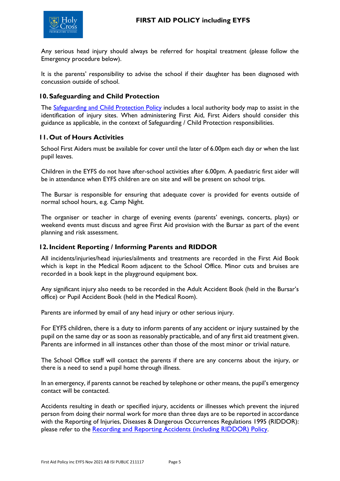

Any serious head injury should always be referred for hospital treatment (please follow the Emergency procedure below).

It is the parents' responsibility to advise the school if their daughter has been diagnosed with concussion outside of school.

### **10.Safeguarding and Child Protection**

The [Safeguarding and Child Protection Policy](file://///HCNET.AD/HCP/Share_Policies/Safeguarding%20and%20Child%20Protection%20Policy.pdf) includes a local authority body map to assist in the identification of injury sites. When administering First Aid, First Aiders should consider this guidance as applicable, in the context of Safeguarding / Child Protection responsibilities.

## **11.Out of Hours Activities**

School First Aiders must be available for cover until the later of 6.00pm each day or when the last pupil leaves.

Children in the EYFS do not have after-school activities after 6.00pm. A paediatric first aider will be in attendance when EYFS children are on site and will be present on school trips.

The Bursar is responsible for ensuring that adequate cover is provided for events outside of normal school hours, e.g. Camp Night.

The organiser or teacher in charge of evening events (parents' evenings, concerts, plays) or weekend events must discuss and agree First Aid provision with the Bursar as part of the event planning and risk assessment.

### **12.Incident Reporting / Informing Parents and RIDDOR**

All incidents/injuries/head injuries/ailments and treatments are recorded in the First Aid Book which is kept in the Medical Room adjacent to the School Office. Minor cuts and bruises are recorded in a book kept in the playground equipment box.

Any significant injury also needs to be recorded in the Adult Accident Book (held in the Bursar's office) or Pupil Accident Book (held in the Medical Room).

Parents are informed by email of any head injury or other serious injury.

For EYFS children, there is a duty to inform parents of any accident or injury sustained by the pupil on the same day or as soon as reasonably practicable, and of any first aid treatment given. Parents are informed in all instances other than those of the most minor or trivial nature.

The School Office staff will contact the parents if there are any concerns about the injury, or there is a need to send a pupil home through illness.

In an emergency, if parents cannot be reached by telephone or other means, the pupil's emergency contact will be contacted.

Accidents resulting in death or specified injury, accidents or illnesses which prevent the injured person from doing their normal work for more than three days are to be reported in accordance with the Reporting of Injuries, Diseases & Dangerous Occurrences Regulations 1995 (RIDDOR): please refer to the [Recording and Reporting Accidents \(including RIDDOR\) Policy](file://///HCNET.AD/HCP/Share_Policies/Recording%20and%20Reporting%20Accidents%20including%20RIDDOR%20Policy.pdf).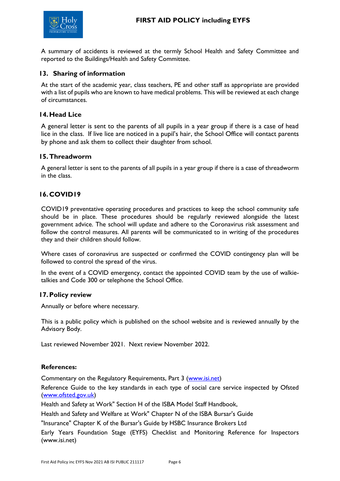

A summary of accidents is reviewed at the termly School Health and Safety Committee and reported to the Buildings/Health and Safety Committee.

### **13. Sharing of information**

At the start of the academic year, class teachers, PE and other staff as appropriate are provided with a list of pupils who are known to have medical problems. This will be reviewed at each change of circumstances.

### **14.Head Lice**

A general letter is sent to the parents of all pupils in a year group if there is a case of head lice in the class. If live lice are noticed in a pupil's hair, the School Office will contact parents by phone and ask them to collect their daughter from school.

#### **15.Threadworm**

A general letter is sent to the parents of all pupils in a year group if there is a case of threadworm in the class.

### **16.COVID19**

COVID19 preventative operating procedures and practices to keep the school community safe should be in place. These procedures should be regularly reviewed alongside the latest government advice. The school will update and adhere to the Coronavirus risk assessment and follow the control measures. All parents will be communicated to in writing of the procedures they and their children should follow.

Where cases of coronavirus are suspected or confirmed the COVID contingency plan will be followed to control the spread of the virus.

In the event of a COVID emergency, contact the appointed COVID team by the use of walkietalkies and Code 300 or telephone the School Office.

#### **17.Policy review**

Annually or before where necessary.

This is a public policy which is published on the school website and is reviewed annually by the Advisory Body.

Last reviewed November 2021. Next review November 2022.

#### **References:**

Commentary on the Regulatory Requirements, Part 3 [\(www.isi.net\)](http://www.isi.net/)

Reference Guide to the key standards in each type of social care service inspected by Ofsted [\(www.ofsted.gov.uk\)](http://www.hse.gov.uk/)

Health and Safety at Work" Section H of the ISBA Model Staff Handbook,

Health and Safety and Welfare at Work" Chapter N of the ISBA Bursar's Guide

"Insurance" Chapter K of the Bursar's Guide by HSBC Insurance Brokers Ltd

Early Years Foundation Stage (EYFS) Checklist and Monitoring Reference for Inspectors (www.isi.net)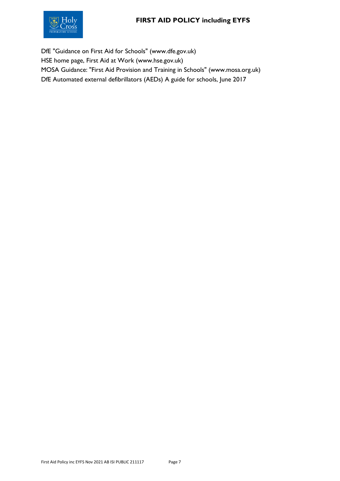# **FIRST AID POLICY including EYFS**



DfE "Guidance on First Aid for Schools" (www.dfe.gov.uk) HSE home page, First Aid at Work (www.hse.gov.uk) MOSA Guidance: "First Aid Provision and Training in Schools" (www.mosa.org.uk) DfE Automated external defibrillators (AEDs) A guide for schools, June 2017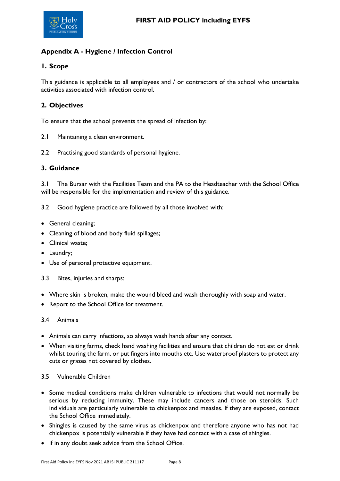

# <span id="page-7-0"></span>**Appendix A - Hygiene / Infection Control**

## **1. Scope**

This guidance is applicable to all employees and / or contractors of the school who undertake activities associated with infection control.

## **2. Objectives**

To ensure that the school prevents the spread of infection by:

- 2.1 Maintaining a clean environment.
- 2.2 Practising good standards of personal hygiene.

#### **3. Guidance**

3.1 The Bursar with the Facilities Team and the PA to the Headteacher with the School Office will be responsible for the implementation and review of this guidance.

- 3.2 Good hygiene practice are followed by all those involved with:
- General cleaning;
- Cleaning of blood and body fluid spillages;
- Clinical waste;
- Laundry;
- Use of personal protective equipment.
- 3.3 Bites, injuries and sharps:
- Where skin is broken, make the wound bleed and wash thoroughly with soap and water.
- Report to the School Office for treatment.

#### 3.4 Animals

- Animals can carry infections, so always wash hands after any contact.
- When visiting farms, check hand washing facilities and ensure that children do not eat or drink whilst touring the farm, or put fingers into mouths etc. Use waterproof plasters to protect any cuts or grazes not covered by clothes.

#### 3.5 Vulnerable Children

- Some medical conditions make children vulnerable to infections that would not normally be serious by reducing immunity. These may include cancers and those on steroids. Such individuals are particularly vulnerable to chickenpox and measles. If they are exposed, contact the School Office immediately.
- Shingles is caused by the same virus as chickenpox and therefore anyone who has not had chickenpox is potentially vulnerable if they have had contact with a case of shingles.
- If in any doubt seek advice from the School Office.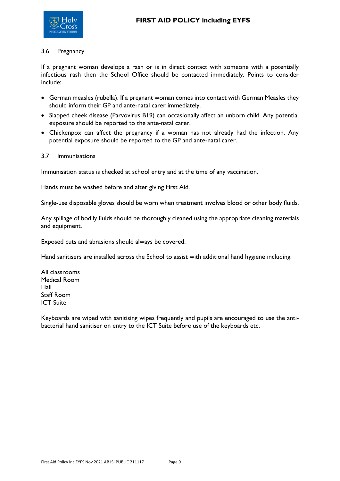

#### 3.6 Pregnancy

If a pregnant woman develops a rash or is in direct contact with someone with a potentially infectious rash then the School Office should be contacted immediately. Points to consider include:

- German measles (rubella). If a pregnant woman comes into contact with German Measles they should inform their GP and ante-natal carer immediately.
- Slapped cheek disease (Parvovirus B19) can occasionally affect an unborn child. Any potential exposure should be reported to the ante-natal carer.
- Chickenpox can affect the pregnancy if a woman has not already had the infection. Any potential exposure should be reported to the GP and ante-natal carer.
- 3.7 Immunisations

Immunisation status is checked at school entry and at the time of any vaccination.

Hands must be washed before and after giving First Aid.

Single-use disposable gloves should be worn when treatment involves blood or other body fluids.

Any spillage of bodily fluids should be thoroughly cleaned using the appropriate cleaning materials and equipment.

Exposed cuts and abrasions should always be covered.

Hand sanitisers are installed across the School to assist with additional hand hygiene including:

All classrooms Medical Room Hall Staff Room ICT Suite

Keyboards are wiped with sanitising wipes frequently and pupils are encouraged to use the antibacterial hand sanitiser on entry to the ICT Suite before use of the keyboards etc.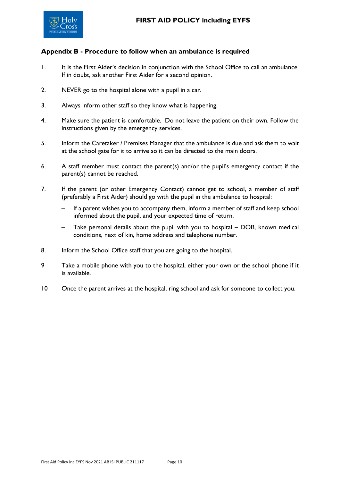

### **Appendix B - Procedure to follow when an ambulance is required**

- 1. It is the First Aider's decision in conjunction with the School Office to call an ambulance. If in doubt, ask another First Aider for a second opinion.
- 2. NEVER go to the hospital alone with a pupil in a car.
- 3. Always inform other staff so they know what is happening.
- 4. Make sure the patient is comfortable. Do not leave the patient on their own. Follow the instructions given by the emergency services.
- 5. Inform the Caretaker / Premises Manager that the ambulance is due and ask them to wait at the school gate for it to arrive so it can be directed to the main doors.
- 6. A staff member must contact the parent(s) and/or the pupil's emergency contact if the parent(s) cannot be reached.
- 7. If the parent (or other Emergency Contact) cannot get to school, a member of staff (preferably a First Aider) should go with the pupil in the ambulance to hospital:
	- − If a parent wishes you to accompany them, inform a member of staff and keep school informed about the pupil, and your expected time of return.
	- Take personal details about the pupil with you to hospital DOB, known medical conditions, next of kin, home address and telephone number.
- 8. Inform the School Office staff that you are going to the hospital.
- 9 Take a mobile phone with you to the hospital, either your own or the school phone if it is available.
- 10 Once the parent arrives at the hospital, ring school and ask for someone to collect you.